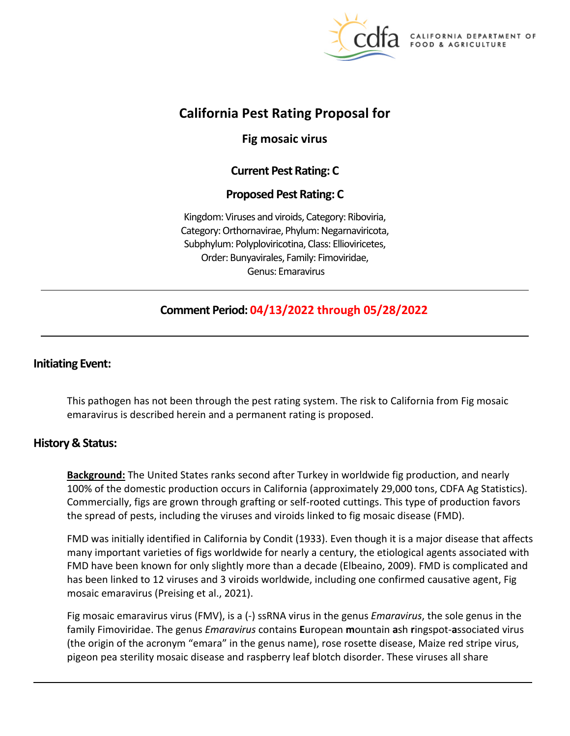

California DEPARTMENT OF FOOD & AGRICULTURE

# **California Pest Rating Proposal for**

**Fig mosaic virus** 

# **Current Pest Rating: C**

## **Proposed Pest Rating: C**

Kingdom: Viruses and viroids, Category: Riboviria, Category: Orthornavirae, Phylum: Negarnaviricota, Subphylum: Polyploviricotina, Class: Ellioviricetes, Order: Bunyavirales, Family: Fimoviridae, Genus: Emaravirus

# **Comment Period: 04/13/2022 through 05/28/2022**

### **Initiating Event:**

This pathogen has not been through the pest rating system. The risk to California from Fig mosaic emaravirus is described herein and a permanent rating is proposed.

### **History & Status:**

**Background:** The United States ranks second after Turkey in worldwide fig production, and nearly 100% of the domestic production occurs in California (approximately 29,000 tons, CDFA Ag Statistics). Commercially, figs are grown through grafting or self-rooted cuttings. This type of production favors the spread of pests, including the viruses and viroids linked to fig mosaic disease (FMD).

FMD was initially identified in California by Condit (1933). Even though it is a major disease that affects many important varieties of figs worldwide for nearly a century, the etiological agents associated with FMD have been known for only slightly more than a decade (Elbeaino, 2009). FMD is complicated and has been linked to 12 viruses and 3 viroids worldwide, including one confirmed causative agent, Fig mosaic emaravirus (Preising et al., 2021).

Fig mosaic emaravirus virus (FMV), is a (-) ssRNA virus in the genus *Emaravirus*, the sole genus in the family Fimoviridae. The genus *Emaravirus* contains **E**uropean **m**ountain **a**sh **r**ingspot-**a**ssociated virus (the origin of the acronym "emara" in the genus name), rose rosette disease, Maize red stripe virus, pigeon pea sterility mosaic disease and raspberry leaf blotch disorder. These viruses all share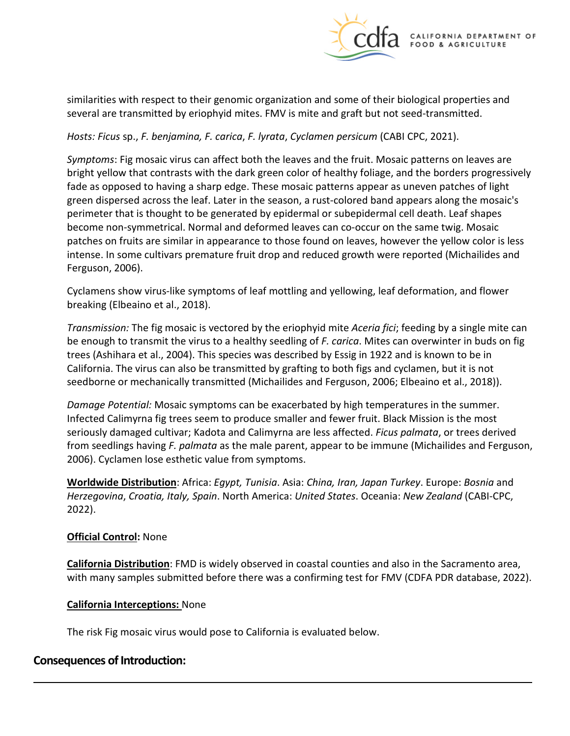

similarities with respect to their genomic organization and some of their biological properties and several are transmitted by eriophyid mites. FMV is mite and graft but not seed-transmitted.

*Hosts: Ficus* sp., *F. benjamina, F. carica*, *F. lyrata*, *Cyclamen persicum* (CABI CPC, 2021).

*Symptoms*: Fig mosaic virus can affect both the leaves and the fruit. Mosaic patterns on leaves are bright yellow that contrasts with the dark green color of healthy foliage, and the borders progressively fade as opposed to having a sharp edge. These mosaic patterns appear as uneven patches of light green dispersed across the leaf. Later in the season, a rust-colored band appears along the mosaic's perimeter that is thought to be generated by epidermal or subepidermal cell death. Leaf shapes become non-symmetrical. Normal and deformed leaves can co-occur on the same twig. Mosaic patches on fruits are similar in appearance to those found on leaves, however the yellow color is less intense. In some cultivars premature fruit drop and reduced growth were reported (Michailides and Ferguson, 2006).

Cyclamens show virus-like symptoms of leaf mottling and yellowing, leaf deformation, and flower breaking (Elbeaino et al., 2018).

*Transmission:* The fig mosaic is vectored by the eriophyid mite *Aceria fici*; feeding by a single mite can be enough to transmit the virus to a healthy seedling of *F. carica*. Mites can overwinter in buds on fig trees (Ashihara et al., 2004). This species was described by Essig in 1922 and is known to be in California. The virus can also be transmitted by grafting to both figs and cyclamen, but it is not seedborne or mechanically transmitted (Michailides and Ferguson, 2006; Elbeaino et al., 2018)).

*Damage Potential:* Mosaic symptoms can be exacerbated by high temperatures in the summer. Infected Calimyrna fig trees seem to produce smaller and fewer fruit. Black Mission is the most seriously damaged cultivar; Kadota and Calimyrna are less affected. *Ficus palmata*, or trees derived from seedlings having *F. palmata* as the male parent, appear to be immune (Michailides and Ferguson, 2006). Cyclamen lose esthetic value from symptoms.

**Worldwide Distribution**: Africa: *Egypt, Tunisia*. Asia: *China, Iran, Japan Turkey*. Europe: *Bosnia* and *Herzegovina*, *Croatia, Italy, Spain*. North America: *United States*. Oceania: *New Zealand* (CABI-CPC, 2022).

### **Official Control:** None

**California Distribution**: FMD is widely observed in coastal counties and also in the Sacramento area, with many samples submitted before there was a confirming test for FMV (CDFA PDR database, 2022).

### **California Interceptions:** None

The risk Fig mosaic virus would pose to California is evaluated below.

## **Consequences of Introduction:**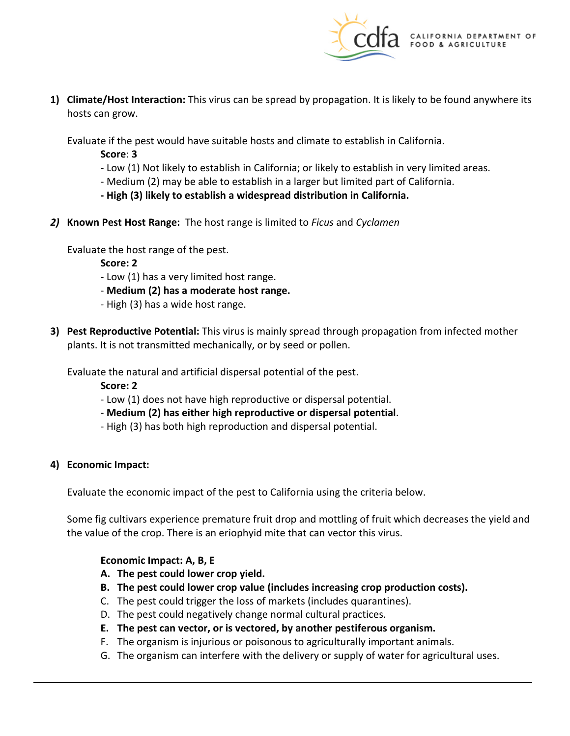

**1) Climate/Host Interaction:** This virus can be spread by propagation. It is likely to be found anywhere its hosts can grow.

Evaluate if the pest would have suitable hosts and climate to establish in California.

**Score**: **3** 

- Low (1) Not likely to establish in California; or likely to establish in very limited areas.
- Medium (2) may be able to establish in a larger but limited part of California.
- **- High (3) likely to establish a widespread distribution in California.**
- *2)* **Known Pest Host Range:** The host range is limited to *Ficus* and *Cyclamen*

Evaluate the host range of the pest.

**Score: 2** 

- Low (1) has a very limited host range.
- **Medium (2) has a moderate host range.**
- High (3) has a wide host range.
- **3) Pest Reproductive Potential:** This virus is mainly spread through propagation from infected mother plants. It is not transmitted mechanically, or by seed or pollen.

Evaluate the natural and artificial dispersal potential of the pest.

**Score: 2** 

- Low (1) does not have high reproductive or dispersal potential.
- **Medium (2) has either high reproductive or dispersal potential**.
- High (3) has both high reproduction and dispersal potential.

### **4) Economic Impact:**

Evaluate the economic impact of the pest to California using the criteria below.

Some fig cultivars experience premature fruit drop and mottling of fruit which decreases the yield and the value of the crop. There is an eriophyid mite that can vector this virus.

### **Economic Impact: A, B, E**

- **A. The pest could lower crop yield.**
- **B. The pest could lower crop value (includes increasing crop production costs).**
- C. The pest could trigger the loss of markets (includes quarantines).
- D. The pest could negatively change normal cultural practices.
- **E. The pest can vector, or is vectored, by another pestiferous organism.**
- F. The organism is injurious or poisonous to agriculturally important animals.
- G. The organism can interfere with the delivery or supply of water for agricultural uses.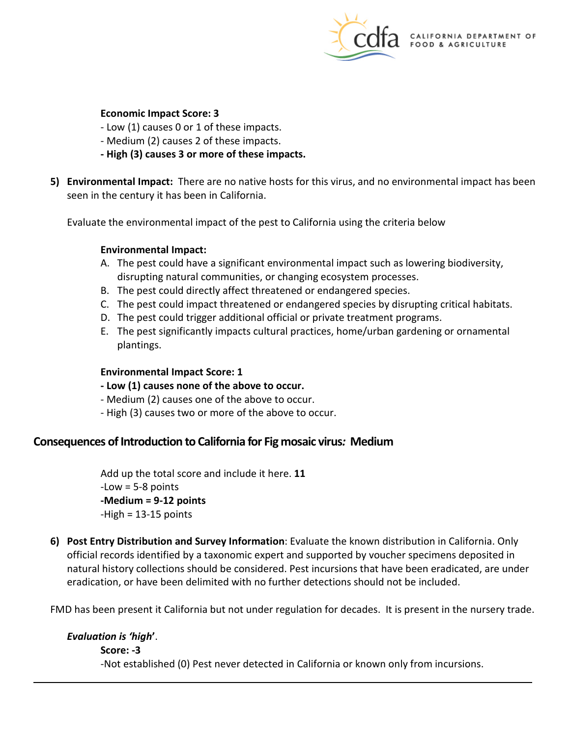

### **Economic Impact Score: 3**

- Low (1) causes 0 or 1 of these impacts.
- Medium (2) causes 2 of these impacts.
- **- High (3) causes 3 or more of these impacts.**
- **5) Environmental Impact:** There are no native hosts for this virus, and no environmental impact has been seen in the century it has been in California.

Evaluate the environmental impact of the pest to California using the criteria below

#### **Environmental Impact:**

- A. The pest could have a significant environmental impact such as lowering biodiversity, disrupting natural communities, or changing ecosystem processes.
- B. The pest could directly affect threatened or endangered species.
- C. The pest could impact threatened or endangered species by disrupting critical habitats.
- D. The pest could trigger additional official or private treatment programs.
- E. The pest significantly impacts cultural practices, home/urban gardening or ornamental plantings.

#### **Environmental Impact Score: 1**

- **- Low (1) causes none of the above to occur.**
- Medium (2) causes one of the above to occur.
- High (3) causes two or more of the above to occur.

### **Consequences of Introduction to California for Fig mosaic virus***:* **Medium**

Add up the total score and include it here. **11**   $-Low = 5-8$  points **-Medium = 9-12 points**   $-High = 13-15$  points

**6) Post Entry Distribution and Survey Information**: Evaluate the known distribution in California. Only official records identified by a taxonomic expert and supported by voucher specimens deposited in natural history collections should be considered. Pest incursions that have been eradicated, are under eradication, or have been delimited with no further detections should not be included.

FMD has been present it California but not under regulation for decades. It is present in the nursery trade.

#### *Evaluation is 'high***'**.

**Score: -3**  -Not established (0) Pest never detected in California or known only from incursions.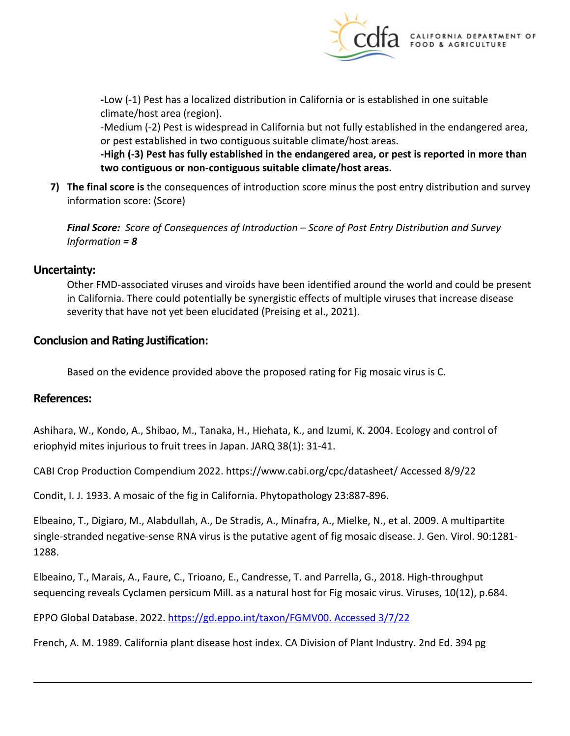

**-**Low (-1) Pest has a localized distribution in California or is established in one suitable climate/host area (region).

-Medium (-2) Pest is widespread in California but not fully established in the endangered area, or pest established in two contiguous suitable climate/host areas.

**-High (-3) Pest has fully established in the endangered area, or pest is reported in more than two contiguous or non-contiguous suitable climate/host areas.** 

**7) The final score is** the consequences of introduction score minus the post entry distribution and survey information score: (Score)

*Final Score: Score of Consequences of Introduction – Score of Post Entry Distribution and Survey Information = 8* 

### **Uncertainty:**

Other FMD-associated viruses and viroids have been identified around the world and could be present in California. There could potentially be synergistic effects of multiple viruses that increase disease severity that have not yet been elucidated (Preising et al., 2021).

### **Conclusion and Rating Justification:**

Based on the evidence provided above the proposed rating for Fig mosaic virus is C.

### **References:**

Ashihara, W., Kondo, A., Shibao, M., Tanaka, H., Hiehata, K., and Izumi, K. 2004. Ecology and control of eriophyid mites injurious to fruit trees in Japan. JARQ 38(1): 31-41.

CABI Crop Production Compendium 2022. [https://www.cabi.org/cpc/datasheet/](https://www.cabi.org/cpc/datasheet) Accessed 8/9/22

Condit, I. J. 1933. A mosaic of the fig in California. Phytopathology 23:887-896.

Elbeaino, T., Digiaro, M., Alabdullah, A., De Stradis, A., Minafra, A., Mielke, N., et al. 2009. A multipartite single-stranded negative-sense RNA virus is the putative agent of fig mosaic disease. J. Gen. Virol. 90:1281- 1288.

Elbeaino, T., Marais, A., Faure, C., Trioano, E., Candresse, T. and Parrella, G., 2018. High-throughput sequencing reveals Cyclamen persicum Mill. as a natural host for Fig mosaic virus. Viruses, 10(12), p.684.

EPPO Global Database. 2022. https://gd.eppo.int/taxon/FGMV00. Accessed 3/7/22

French, A. M. 1989. California plant disease host index. CA Division of Plant Industry. 2nd Ed. 394 pg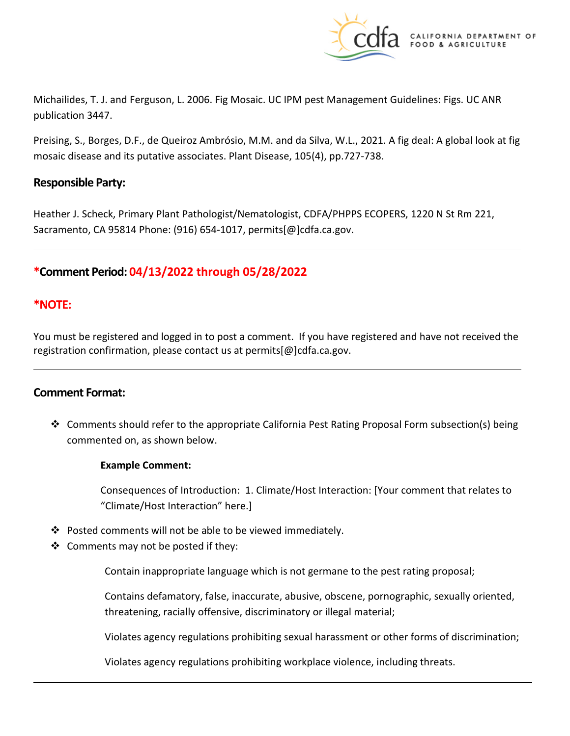

Michailides, T. J. and Ferguson, L. 2006. Fig Mosaic. UC IPM pest Management Guidelines: Figs. UC ANR publication 3447.

Preising, S., Borges, D.F., de Queiroz Ambrósio, M.M. and da Silva, W.L., 2021. A fig deal: A global look at fig mosaic disease and its putative associates. Plant Disease, 105(4), pp.727-738.

### **Responsible Party:**

Heather J. Scheck, Primary Plant Pathologist/Nematologist, CDFA/PHPPS ECOPERS, 1220 N St Rm 221, Sacramento, CA 95814 Phone: (916) 654-1017, [permits\[@\]cdfa.ca.gov](https://permits[@]cdfa.ca.gov).

## **\*Comment Period: 04/13/2022 through 05/28/2022**

### **\*NOTE:**

You must be registered and logged in to post a comment. If you have registered and have not received the registration confirmation, please contact us at [permits\[@\]cdfa.ca.gov](https://permits[@]cdfa.ca.gov).

### **Comment Format:**

 $\div$  Comments should refer to the appropriate California Pest Rating Proposal Form subsection(s) being commented on, as shown below.

### **Example Comment:**

Consequences of Introduction: 1. Climate/Host Interaction: [Your comment that relates to "Climate/Host Interaction" here.]

- Posted comments will not be able to be viewed immediately.
- $\triangleleft$  Comments may not be posted if they:

Contain inappropriate language which is not germane to the pest rating proposal;

Contains defamatory, false, inaccurate, abusive, obscene, pornographic, sexually oriented, threatening, racially offensive, discriminatory or illegal material;

Violates agency regulations prohibiting sexual harassment or other forms of discrimination;

Violates agency regulations prohibiting workplace violence, including threats.